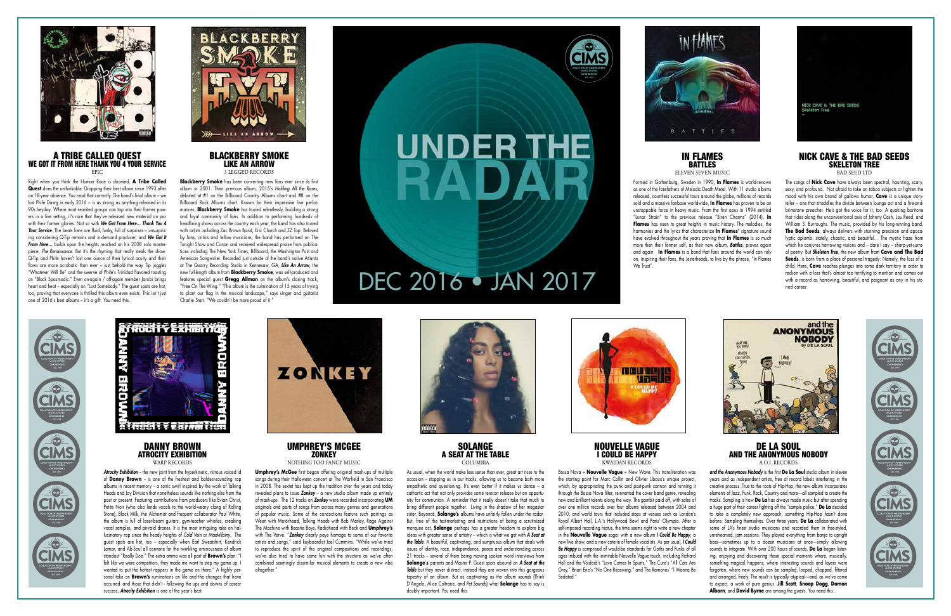UMPHREY'S MCGEE **ZONKEY** 

*Atrocity Exhibition* – the new joint from the hyperkinetic, nitrous voiced id of **Danny Brown** - is one of the freshest and boldest-sounding rap albums in recent memory - a sonic swirl inspired by the work of Talking Heads and Joy Division that nonetheless sounds like nothing else from the past or present. Featuring contributions from producers like Evian Christ, Petite Noir (who also lends vocals to the world-weary clang of Rolling Stone), Black Milk, the Alchemist and frequent collaborator Paul White, the album is full of laser-beam guitars, gym-teacher whistles, creaking vocal samples, and air-raid drones. It is the most intriguing take on hallucinatory rap since the heady heights of *Cold Vein* or *Madvillainy*. The guest spots are hot, too – especially when Earl Sweatshirt, Kendrick Lamar, and Ab-Soul all convene for the twinkling ominousness of album standout "Really Doe." The extra ammo was all part of **Brown's** plan: "I felt like we were competitors, they made me want to step my game up. I wanted to put the hottest rappers in the game on there." A highly personal take on **Brown's** ruminations on life and the changes that have occurred -and those that didn't - following the ups and downs of career success, *Atrocity Exhibition* is one of the year's best.



SOLANGE A SEAT AT THE TABLE **COLUMBIA** 

NOTHING TOO FANCY MUSIC

Bossa Nova = **Nouvelle Vague** = New Wave: This transliteration was the starting point for Marc Collin and Olivier Libaux's unique project, which, by appropriating the punk and post-punk cannon and running it through the Bossa Nova filter, reinvented the cover band genre, revealing new and brilliant talents along the way. The gambit paid off, with sales of over one million records over four albums released between 2004 and 2010, and world tours that included stops at venues such as London's Royal Albert Hall, L.A.'s Hollywood Bowl and Paris' Olympia. After a self-imposed recording highes, the time seems right to write a new chapter in the **Nouvelle Vague** saga: with a new album *I Could Be Happy*, a new live show, and a new coterie of female vocalists. As per usual, *I Could*  **Be Happy** is comprised of would-be standards for Goths and Punks of all ages imbued with the inimitable Nouvelle Vague touch, including Richard Hell and the Voidoid's "Love Comes In Spurts," The Cure's "All Cats Are Grey," Brian Eno's "No One Receiving," and The Ramones' "I Wanna Be Sedated."

**Umphrey's McGee** first began offering original mash-ups of multiple songs during their Halloween concert at The Warfield in San Francisco in 2008. The sextet has kept up the tradition over the years and today revealed plans to issue *Zonkey* – a new studio album made up entirely of mash-ups. The 12 tracks on *Zonkey* were recorded incorporating **UM** originals and parts of songs from across many genres and generations of popular music. Some of the concoctions feature such pairings as Ween with Motörhead, Talking Heads with Bob Marley, Rage Against The Machine with Beastie Boys, Radiohead with Beck and **Umphrey's** with The Verve. "*Zonkey* clearly pays homage to some of our favorite artists and songs," said keyboardist Joel Cummins. "While we've tried to reproduce the spirit of the original compositions and recordings we've also tried to have some fun with the structure as we've often combined seemingly dissimilar musical elements to create a new vibe altogether."



As usual, when the world make less sense than ever, great art rises to the occasion – stopping us in our tracks, allowing us to become both more empathetic and questioning. It's even better if it makes us dance – a cathartic act that not only provides some tension release but an opportunity for communion. A reminder that it really doesn't take that much to bring different people together. Living in the shadow of her megastar sister, Beyoncé, **Solange's** albums have unfairly fallen under the radar. But, free of the test-marketing and restrictions of being a scrutinized marquee act, **Solange** perhaps has a greater freedom to explore big ideas with greater sense of artistry – which is what we get with *A Seat at the Table*. A beautiful, captivating, and sumptuous album that deals with issues of identity, race, independence, peace and understanding across 21 tracks – several of them being moving spoken word interviews from **Solange**'**s** parents and Master P. Guest spots abound on *A Seat at the*  **Table** but they never distract, instead they are woven into this gorgeous tapestry of an album. But as captivating as the album *sounds* (Think D'Angelo, Alice Coltrane, and *Pet Sounds*) what **Solange** has to say is doubly important. You need this.



#### NOUVELLE VAGUE I COULD BE HAPPY KWAIDAN RECORDS

Formed in Gothenburg, Sweden in 1990, **In Flames** is world-renown as one of the forefathers of Melodic Death Metal. With 11 studio albums released, countless successful tours around the globe, millions of records sold and a massive fanbase worldwide, **In Flames** has proven to be an unstoppable force in heavy music. From the first opus in 1994 entitled "Lunar Strain" to the previous release "Siren Charms" (2014), **In Flames** has risen to great heights in music history. The melodies, the harmonies and the lyrics that characterize **In Flames'** signature sound have evolved throughout the years proving that **In Flames** is so much more then their former self, as their new album, *Battles*, proves again and again. **In Flames** is a band that fans around the world can rely on, inspiring their fans, the Jesterheads, to live by the phrase, "In Flames We Trust"





#### DANNY BROWN ATROCITY EXHIBITION WARP RECORDS

#### DE LA SOUL AND THE ANONYMOUS NOBODY A.O.I. RECORDS

*and the Anonymous Nobody* is the first **De La Soul** studio album in eleven years and as independent artists, free of record labels interfering in the creative process. True to the roots of Hip-Hop, the new album incorporates elements of Jazz, Funk, Rock, Country and more—all sampled to create the tracks. Sampling is how **De La** has always made music but after spending a huge part of their career fighting off the "sample police," **De La** decided to take a completely new approach, something Hip-Hop hasn't done before: Sampling themselves. Over three years, **De La** collaborated with some of LA's finest studio musicians and recorded them in free-styled, unrehearsed, jam sessions. They played everything from banjo to upright bass—sometimes up to a dozen musicians at once—simply allowing sounds to integrate. With over 200 hours of sounds, **De La** began listening, enjoying and discovering those special moments where, musically, something magical happens, where interesting sounds and layers were forgotten, where new sounds can be sampled, looped, chopped, filtered and arranged, freely. The result is typically atypical—and, as we've come to expect, a work of pure genius. **Jill Scott**, **Snoop Dogg**, **Damon Albarn**, and **David Byrne** are among the guests. You need this.





#### A TRIBE CALLED QUEST WE GOT IT FROM HERE THANK YOU 4 YOUR SERVICE EPIC

Right when you think the Human Race is doomed, **A Tribe Called Quest** does the unthinkable: Dropping their best album since 1993 after an 18-year absence. You read that correctly. The band's final album – we lost Phife Dawg in early 2016 – is as strong as anything released in its 90s heyday. Where most reunited groups can tap into their former powers in a live setting, it's rare that they've released new material on par with their former glories. Not so with *We Got From Here… Thank You 4 Your Service*. The beats here are fluid, funky, full of surprises – unsurprising considering Q-Tip remains and in-demand producer, and *We Got It*  From Here... builds upon the heights reached on his 2008 solo masterpiece, *The Renaissance*. But it's the rhyming that really steals the show. Q-Tip and Phife haven't lost one ounce of their lyrical acuity and their flows are more acrobatic than ever – just behold the way Tip juggles "Whatever Will Be" and the swerve of Phife's Trinidad flavored toasting on "Black Spasmodic." Even on-again / off-again member Jarobi brings heart and heat – especially on "Lost Somebody." The guest spots are hot, too, proving that everyone is thrilled this album even exists. This isn't just one of 2016's best albums – it's a gift. You need this.



#### BLACKBERRY SMOKE LIKE AN ARROW 3 LEGGED RECORDS

**Blackberry Smoke** has been converting new fans ever since its first album in 2001. Their previous album, 2015's *Holding All the Roses*, debuted at #1 on the Billboard Country Albums chart and #8 on the Billboard Rock Albums chart. Known for their impressive live performances, **Blackberry Smoke** has toured relentlessly, building a strong and loyal community of fans. In addition to performing hundreds of headlining shows across the country each year, the band has also toured with artists including Zac Brown Band, Eric Church and ZZ Top. Beloved by fans, critics and fellow musicians, the band has performed on The Tonight Show and Conan and received widespread praise from publications including The New York Times, Billboard, the Washington Post and American Songwriter. Recorded just outside of the band's native Atlanta at The Quarry Recording Studio in Kennesaw, GA, *Like An Arrow*, the new full-length album from **Blackberry Smoke**, was self-produced and features special guest **Gregg Allman** on the album's closing track, "Free On The Wing." "This album is the culmination of 15 years of trying to plant our flag in the musical landscape," says singer and guitarist Charlie Starr. "We couldn't be more proud of it."



## **UNDER THE** RA



DEC 2016 • JAN 2017

#### IN FLAMES BATTLES ELEVEN SEVEN MUSIC



#### NICK CAVE & THE BAD SEEDS SKELETON TREE BAD SEED LTD

The songs of **Nick Cave** have always been spectral, haunting, scary, sexy, and profound. Not afraid to take on taboo subjects or lighten the mood with his own brand of gallows humor, **Cave** is a unique storyteller – one that straddles the divide between lounge act and a fire-andbrimstone preacher. He's got the voice for it, too: A quaking baritone that rides along the unconventional axis of Johnny Cash, Lou Reed, and William S. Burroughs. The music, provided by his long-running band. **The Bad Seeds**, always delivers with stunning precision and apocalyptic aplomb: stately, chaotic, and beautiful… The mystic haze from which he conjures harrowing visions and – dare I say – sharp-yet-surreal poetry. But *Skeleton Tree*, the new album from **Cave and The Bad Seeds**, is born from a place of personal tragedy: Namely, the loss of a child. Here, **Cave** reaches plunges into some dark territory in order to reckon with a loss that's almost too terrifying to mention and comes out with a record as harrowing, beautiful, and poignant as any in his storied career.